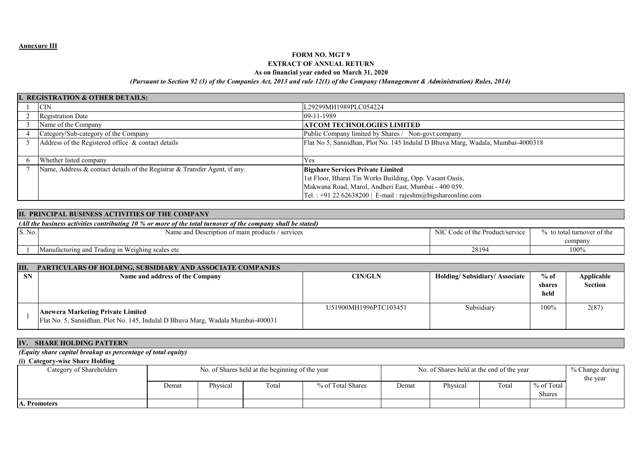# **FORM NO. MGT 9EXTRACT OF ANNUAL RETURN**

#### **As on financial year ended on March 31, 2020**

### *(Pursuant to Section 92 (3) of the Companies Act, 2013 and rule 12(1) of the Company (Management & Administration) Rules, 2014)*

|   | <b>I. REGISTRATION &amp; OTHER DETAILS:</b>                                |                                                                                 |
|---|----------------------------------------------------------------------------|---------------------------------------------------------------------------------|
|   | <b>CIN</b>                                                                 | L29299MH1989PLC054224                                                           |
|   | <b>Registration Date</b>                                                   | 09-11-1989                                                                      |
|   | Name of the Company                                                        | <b>ATCOM TECHNOLOGIES LIMITED</b>                                               |
|   | Category/Sub-category of the Company                                       | Public Company limited by Shares / Non-govt company                             |
|   | Address of the Registered office & contact details                         | Flat No 5, Sannidhan, Plot No. 145 Indulal D Bhuva Marg, Wadala, Mumbai-4000318 |
|   |                                                                            |                                                                                 |
| h | Whether listed company                                                     | Y es                                                                            |
|   | Name, Address & contact details of the Registrar & Transfer Agent, if any. | <b>Bigshare Services Private Limited</b>                                        |
|   |                                                                            | 1st Floor, Bharat Tin Works Building, Opp. Vasant Oasis,                        |
|   |                                                                            | Makwana Road, Marol, Andheri East, Mumbai - 400 059.                            |
|   |                                                                            | Tel.: +91 22 62638200   E-mail: rajeshm@bigshareonline.com                      |

|        | II. PRINCIPAL BUSINESS ACTIVITIES OF THE COMPANY                                                             |                                 |                            |  |  |  |  |  |  |  |  |
|--------|--------------------------------------------------------------------------------------------------------------|---------------------------------|----------------------------|--|--|--|--|--|--|--|--|
|        | (All the business activities contributing 10 % or more of the total turnover of the company shall be stated) |                                 |                            |  |  |  |  |  |  |  |  |
| S. No. | Name and Description of main products / services                                                             | NIC Code of the Product/service | % to total turnover of the |  |  |  |  |  |  |  |  |
|        |                                                                                                              |                                 | company                    |  |  |  |  |  |  |  |  |
|        | Manufacturing and Trading in Weighing scales etc.                                                            | 28194                           | 100%                       |  |  |  |  |  |  |  |  |
|        |                                                                                                              |                                 |                            |  |  |  |  |  |  |  |  |

| III.      | <b>PARTICULARS OF HOLDING, SUBSIDIARY AND ASSOCIATE COMPANIES</b>                                                           |                       |                                     |                          |                              |
|-----------|-----------------------------------------------------------------------------------------------------------------------------|-----------------------|-------------------------------------|--------------------------|------------------------------|
| <b>SN</b> | Name and address of the Company                                                                                             | <b>CIN/GLN</b>        | <b>Holding/Subsidiary/Associate</b> | $%$ of<br>shares<br>held | <b>Applicable</b><br>Section |
|           | <b>Anewera Marketing Private Limited</b><br>Flat No. 5, Sannidhan, Plot No. 145, Indulal D Bhuva Marg, Wadala Mumbai-400031 | U51900MH1996PTC103451 | Subsidiary                          | 100%                     | 2(87)                        |

## **IV. SHARE HOLDING PATTERN**

# *(Equity share capital breakup as percentage of total equity)*

## **(i) Category-wise Share Holding**

| Category of Shareholders |       |          | No. of Shares held at the beginning of the year |                   | No. of Shares held at the end of the year |          | % Change during |               |  |
|--------------------------|-------|----------|-------------------------------------------------|-------------------|-------------------------------------------|----------|-----------------|---------------|--|
|                          |       |          |                                                 |                   |                                           | the year |                 |               |  |
|                          | Demat | Physical | Total                                           | % of Total Shares | Demat                                     | Physical | Total           | % of Total    |  |
|                          |       |          |                                                 |                   |                                           |          |                 | <b>Shares</b> |  |
| A. Promoters             |       |          |                                                 |                   |                                           |          |                 |               |  |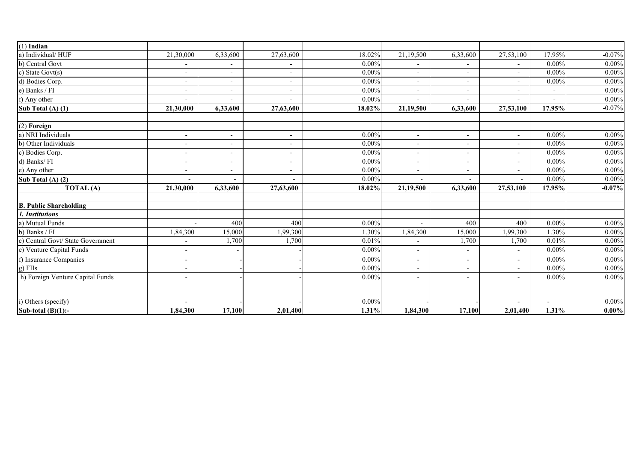| $(1)$ Indian                      |                          |                          |                          |          |                          |                          |                          |                          |          |
|-----------------------------------|--------------------------|--------------------------|--------------------------|----------|--------------------------|--------------------------|--------------------------|--------------------------|----------|
| a) Individual/HUF                 | 21,30,000                | 6,33,600                 | 27,63,600                | 18.02%   | 21,19,500                | 6,33,600                 | 27,53,100                | 17.95%                   | $-0.07%$ |
| b) Central Govt                   | -                        | $\overline{\phantom{a}}$ |                          | $0.00\%$ | $\overline{\phantom{a}}$ |                          | ٠                        | $0.00\%$                 | $0.00\%$ |
| c) State Govt(s)                  | $\overline{\phantom{a}}$ | $\overline{\phantom{a}}$ | $\sim$                   | $0.00\%$ | $\blacksquare$           | $\blacksquare$           | $\overline{\phantom{a}}$ | $0.00\%$                 | $0.00\%$ |
| d) Bodies Corp.                   | $\overline{\phantom{a}}$ | $\overline{\phantom{a}}$ |                          | $0.00\%$ | $\overline{\phantom{a}}$ |                          | $\overline{\phantom{0}}$ | $0.00\%$                 | $0.00\%$ |
| e) Banks / FI                     | -                        | $\overline{\phantom{a}}$ |                          | $0.00\%$ | $\overline{\phantom{a}}$ |                          | $\overline{a}$           | $\overline{\phantom{a}}$ | 0.00%    |
| f) Any other                      | $\overline{\phantom{0}}$ |                          |                          | $0.00\%$ |                          |                          |                          | $\overline{\phantom{a}}$ | $0.00\%$ |
| Sub Total (A) (1)                 | 21,30,000                | 6,33,600                 | 27,63,600                | 18.02%   | 21,19,500                | 6,33,600                 | 27,53,100                | 17.95%                   | $-0.07%$ |
|                                   |                          |                          |                          |          |                          |                          |                          |                          |          |
| $(2)$ Foreign                     |                          |                          |                          |          |                          |                          |                          |                          |          |
| a) NRI Individuals                | $\blacksquare$           | $\overline{\phantom{a}}$ | $\sim$                   | $0.00\%$ | $\overline{\phantom{a}}$ | $\overline{\phantom{a}}$ | $\sim$                   | $0.00\%$                 | 0.00%    |
| b) Other Individuals              | $\overline{\phantom{a}}$ | $\overline{\phantom{a}}$ | $\overline{\phantom{a}}$ | $0.00\%$ | $\overline{\phantom{a}}$ | $\blacksquare$           | $\blacksquare$           | $0.00\%$                 | 0.00%    |
| c) Bodies Corp.                   | $\overline{\phantom{a}}$ | $\overline{\phantom{a}}$ | $\overline{\phantom{a}}$ | $0.00\%$ | $\overline{\phantom{a}}$ | $\overline{\phantom{a}}$ | $\overline{\phantom{a}}$ | $0.00\%$                 | 0.00%    |
| d) Banks/FI                       | -                        | $\overline{\phantom{a}}$ |                          | $0.00\%$ | $\blacksquare$           |                          |                          | $0.00\%$                 | 0.00%    |
| e) Any other                      | $\blacksquare$           | $\overline{a}$           | $\overline{a}$           | $0.00\%$ | $\overline{a}$           | $\overline{a}$           | $\overline{a}$           | $0.00\%$                 | 0.00%    |
| Sub Total $(A)$ $(2)$             | $\overline{\phantom{a}}$ | $\overline{\phantom{a}}$ | $\overline{\phantom{a}}$ | $0.00\%$ | $\overline{\phantom{a}}$ | $\overline{\phantom{a}}$ | $\overline{\phantom{a}}$ | $0.00\%$                 | 0.00%    |
| TOTAL (A)                         | 21,30,000                | 6,33,600                 | 27,63,600                | 18.02%   | 21,19,500                | 6,33,600                 | 27,53,100                | 17.95%                   | $-0.07%$ |
|                                   |                          |                          |                          |          |                          |                          |                          |                          |          |
| <b>B. Public Shareholding</b>     |                          |                          |                          |          |                          |                          |                          |                          |          |
| 1. Institutions                   |                          |                          |                          |          |                          |                          |                          |                          |          |
| a) Mutual Funds                   |                          | 400                      | 400                      | $0.00\%$ |                          | 400                      | 400                      | $0.00\%$                 | 0.00%    |
| b) Banks / FI                     | 1,84,300                 | 15,000                   | 1,99,300                 | 1.30%    | 1,84,300                 | 15,000                   | 1,99,300                 | 1.30%                    | $0.00\%$ |
| c) Central Govt/ State Government | $\blacksquare$           | 1,700                    | 1,700                    | 0.01%    | $\blacksquare$           | 1,700                    | 1,700                    | 0.01%                    | 0.00%    |
| e) Venture Capital Funds          | -                        |                          |                          | $0.00\%$ | $\overline{\phantom{a}}$ |                          | $\overline{\phantom{0}}$ | $0.00\%$                 | $0.00\%$ |
| f) Insurance Companies            | $\blacksquare$           |                          |                          | $0.00\%$ | $\overline{a}$           | $\overline{a}$           | $\overline{\phantom{0}}$ | $0.00\%$                 | 0.00%    |
| g) FIIs                           | $\overline{\phantom{a}}$ |                          |                          | $0.00\%$ | $\overline{\phantom{a}}$ |                          | $\overline{\phantom{a}}$ | $0.00\%$                 | $0.00\%$ |
| h) Foreign Venture Capital Funds  | $\overline{\phantom{a}}$ |                          |                          | $0.00\%$ | $\overline{\phantom{a}}$ | $\blacksquare$           | $\overline{\phantom{0}}$ | $0.00\%$                 | 0.00%    |
|                                   |                          |                          |                          |          |                          |                          |                          |                          |          |
| i) Others (specify)               | $\blacksquare$           |                          |                          | $0.00\%$ |                          |                          |                          | $\overline{\phantom{a}}$ | $0.00\%$ |
| Sub-total $(B)(1)$ :-             | 1,84,300                 | 17,100                   | 2,01,400                 | 1.31%    | 1,84,300                 | 17,100                   | 2,01,400                 | 1.31%                    | $0.00\%$ |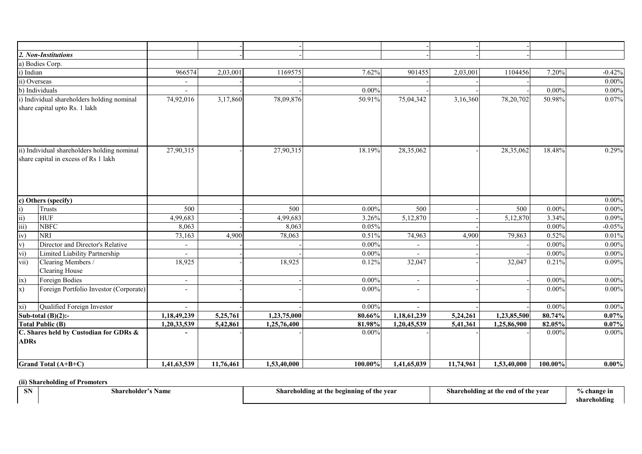|                 | 2. Non-Institutions                         |                          |           |             |          |                          |           |             |          |          |
|-----------------|---------------------------------------------|--------------------------|-----------|-------------|----------|--------------------------|-----------|-------------|----------|----------|
|                 | a) Bodies Corp.                             |                          |           |             |          |                          |           |             |          |          |
| i) Indian       |                                             | 966574                   | 2,03,001  | 1169575     | 7.62%    | 901455                   | 2,03,001  | 1104456     | 7.20%    | $-0.42%$ |
|                 | ii) Overseas                                | $\overline{\phantom{a}}$ |           |             |          |                          |           |             |          | $0.00\%$ |
|                 | b) Individuals                              | $\overline{\phantom{a}}$ |           |             | $0.00\%$ |                          |           |             | 0.00%    | $0.00\%$ |
|                 | i) Individual shareholders holding nominal  | 74,92,016                | 3,17,860  | 78,09,876   | 50.91%   | 75,04,342                | 3,16,360  | 78,20,702   | 50.98%   | 0.07%    |
|                 | share capital upto Rs. 1 lakh               |                          |           |             |          |                          |           |             |          |          |
|                 |                                             |                          |           |             |          |                          |           |             |          |          |
|                 | ii) Individual shareholders holding nominal | 27,90,315                |           | 27,90,315   | 18.19%   | 28,35,062                |           | 28,35,062   | 18.48%   | 0.29%    |
|                 | share capital in excess of Rs 1 lakh        |                          |           |             |          |                          |           |             |          |          |
|                 |                                             |                          |           |             |          |                          |           |             |          |          |
|                 | c) Others (specify)                         |                          |           |             |          |                          |           |             |          | $0.00\%$ |
| $\mathbf{i}$    | Trusts                                      | 500                      |           | 500         | $0.00\%$ | 500                      |           | 500         | $0.00\%$ | $0.00\%$ |
| $\overline{ii}$ | <b>HUF</b>                                  | 4,99,683                 |           | 4,99,683    | 3.26%    | 5,12,870                 |           | 5,12,870    | 3.34%    | 0.09%    |
| iii)            | <b>NBFC</b>                                 | 8,063                    |           | 8,063       | 0.05%    |                          |           |             | $0.00\%$ | $-0.05%$ |
| iv)             | <b>NRI</b>                                  | 73,163                   | 4,900     | 78,063      | 0.51%    | 74,963                   | 4,900     | 79,863      | 0.52%    | 0.01%    |
| V)              | Director and Director's Relative            | $\blacksquare$           |           |             | $0.00\%$ | $\overline{\phantom{0}}$ |           |             | $0.00\%$ | $0.00\%$ |
| vi)             | Limited Liability Partnership               |                          |           |             | $0.00\%$ |                          |           |             | 0.00%    | $0.00\%$ |
| vii)            | Clearing Members /                          | 18,925                   |           | 18,925      | 0.12%    | 32,047                   |           | 32,047      | 0.21%    | 0.09%    |
|                 | Clearing House                              |                          |           |             |          |                          |           |             |          |          |
| ix)             | Foreign Bodies                              | $\overline{\phantom{a}}$ |           |             | $0.00\%$ | $\overline{\phantom{a}}$ |           |             | $0.00\%$ | $0.00\%$ |
| x)              | Foreign Portfolio Investor (Corporate)      | $\overline{a}$           |           |             | $0.00\%$ | $\overline{a}$           |           |             | $0.00\%$ | $0.00\%$ |
| xi)             | Qualified Foreign Investor                  | $\sim$                   |           |             | $0.00\%$ |                          |           |             | $0.00\%$ | $0.00\%$ |
|                 | Sub-total $(B)(2)$ :-                       | 1,18,49,239              | 5,25,761  | 1,23,75,000 | 80.66%   | 1,18,61,239              | 5,24,261  | 1,23,85,500 | 80.74%   | $0.07\%$ |
|                 | <b>Total Public (B)</b>                     | 1,20,33,539              | 5,42,861  | 1,25,76,400 | 81.98%   | 1,20,45,539              | 5,41,361  | 1,25,86,900 | 82.05%   | $0.07\%$ |
| <b>ADRs</b>     | C. Shares held by Custodian for GDRs &      |                          |           |             | $0.00\%$ |                          |           |             | $0.00\%$ | $0.00\%$ |
|                 | <b>Grand Total (A+B+C)</b>                  | 1,41,63,539              | 11,76,461 | 1,53,40,000 | 100.00%  | 1,41,65,039              | 11,74,961 | 1,53,40,000 | 100.00%  | $0.00\%$ |

# **(ii) Shareholding of Promoters**

**Shareholding at the beginning of the year Shareholding at the end of the year 6 % change in**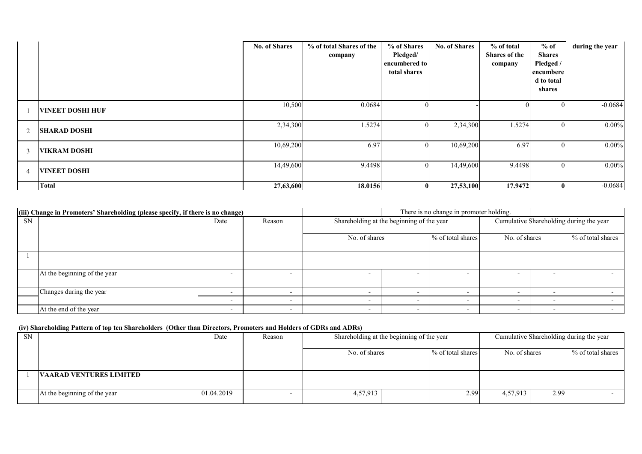|                          |                         | <b>No. of Shares</b> | % of total Shares of the<br>company | % of Shares<br>Pledged/<br>encumbered to<br>total shares | <b>No. of Shares</b> | % of total<br>Shares of the<br>company | $%$ of<br><b>Shares</b><br>Pledged /<br>encumbere<br>d to total<br>shares | during the year |
|--------------------------|-------------------------|----------------------|-------------------------------------|----------------------------------------------------------|----------------------|----------------------------------------|---------------------------------------------------------------------------|-----------------|
|                          | <b>VINEET DOSHI HUF</b> | 10,500               | 0.0684                              | $\theta$                                                 |                      |                                        |                                                                           | $-0.0684$       |
| 2                        | <b>SHARAD DOSHI</b>     | 2,34,300             | 1.5274                              | $\theta$                                                 | 2,34,300             | 1.5274                                 | $\Omega$                                                                  | $0.00\%$        |
| -3                       | VIKRAM DOSHI            | 10,69,200            | 6.97                                | $\overline{0}$                                           | 10,69,200            | 6.97                                   |                                                                           | $0.00\%$        |
| $\overline{\mathcal{A}}$ | <b>VINEET DOSHI</b>     | 14,49,600            | 9.4498                              | $\overline{0}$                                           | 14,49,600            | 9.4498                                 |                                                                           | $0.00\%$        |
|                          | <b>Total</b>            | 27,63,600            | 18.0156                             | $\mathbf{u}$                                             | 27,53,100            | 17.9472                                |                                                                           | $-0.0684$       |

|           | (iii) Change in Promoters' Shareholding (please specify, if there is no change) |                          |        |                          | There is no change in promoter holding.   |                          |                                    |                          |                                         |
|-----------|---------------------------------------------------------------------------------|--------------------------|--------|--------------------------|-------------------------------------------|--------------------------|------------------------------------|--------------------------|-----------------------------------------|
| <b>SN</b> |                                                                                 | Date                     | Reason |                          | Shareholding at the beginning of the year |                          |                                    |                          | Cumulative Shareholding during the year |
|           |                                                                                 |                          |        |                          | No. of shares                             |                          | % of total shares<br>No. of shares |                          | % of total shares                       |
|           |                                                                                 |                          |        |                          |                                           |                          |                                    |                          |                                         |
|           | At the beginning of the year                                                    | $\overline{\phantom{0}}$ |        |                          |                                           |                          |                                    | $\overline{\phantom{0}}$ |                                         |
|           | Changes during the year                                                         | $\overline{\phantom{0}}$ |        |                          | $\overline{\phantom{0}}$                  |                          | $\overline{\phantom{0}}$           | $\overline{\phantom{0}}$ |                                         |
|           |                                                                                 | $\overline{\phantom{0}}$ |        | $\overline{\phantom{0}}$ | $\overline{\phantom{0}}$                  | $\overline{\phantom{0}}$ |                                    | $\overline{\phantom{0}}$ |                                         |
|           | At the end of the year                                                          | $\overline{\phantom{0}}$ |        | $\overline{\phantom{0}}$ | $\overline{\phantom{0}}$                  | $\overline{\phantom{a}}$ | $\overline{\phantom{0}}$           | $\overline{\phantom{a}}$ |                                         |

# **(iv) Shareholding Pattern of top ten Shareholders (Other than Directors, Promoters and Holders of GDRs and ADRs)**

| <b>SN</b> |                                | Date       | Reason |               | Shareholding at the beginning of the year<br>Cumulative Shareholding during the year |               |      |                   |
|-----------|--------------------------------|------------|--------|---------------|--------------------------------------------------------------------------------------|---------------|------|-------------------|
|           |                                |            |        | No. of shares | % of total shares                                                                    | No. of shares |      | % of total shares |
|           | <b>VAARAD VENTURES LIMITED</b> |            |        |               |                                                                                      |               |      |                   |
|           | At the beginning of the year   | 01.04.2019 |        | 4,57,913      | 2.99                                                                                 | 4,57,913      | 2.99 |                   |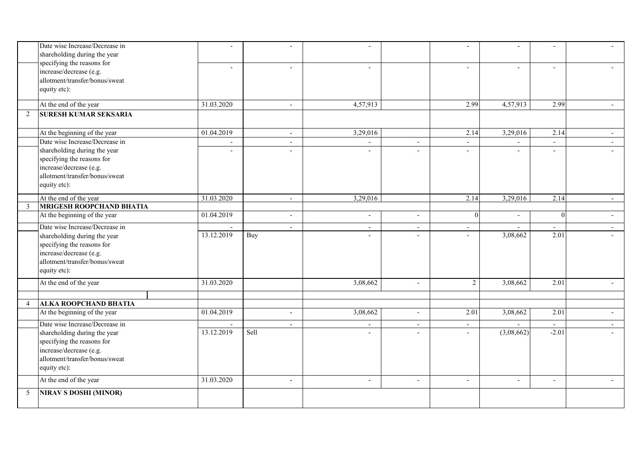|                | Date wise Increase/Decrease in<br>shareholding during the year                                          | $\overline{a}$           | $\overline{a}$           |                          |                          |                          | $\sim$                   | $\overline{a}$           | $\overline{a}$           |
|----------------|---------------------------------------------------------------------------------------------------------|--------------------------|--------------------------|--------------------------|--------------------------|--------------------------|--------------------------|--------------------------|--------------------------|
|                | specifying the reasons for<br>increase/decrease (e.g.<br>allotment/transfer/bonus/sweat<br>equity etc): | $\overline{\phantom{a}}$ | $\mathbf{r}$             | $\overline{\phantom{a}}$ |                          | $\overline{\phantom{a}}$ | $\overline{\phantom{a}}$ | $\sim$                   | $\sim$                   |
|                | At the end of the year                                                                                  | 31.03.2020               | $\overline{\phantom{a}}$ | 4,57,913                 |                          | 2.99                     | 4,57,913                 | 2.99                     | $\sim$                   |
| 2              | <b>SURESH KUMAR SEKSARIA</b>                                                                            |                          |                          |                          |                          |                          |                          |                          |                          |
|                |                                                                                                         |                          |                          |                          |                          |                          |                          |                          |                          |
|                | At the beginning of the year                                                                            | 01.04.2019               | $\sim$                   | 3,29,016                 |                          | 2.14                     | 3,29,016                 | 2.14                     | $\sim$                   |
|                | Date wise Increase/Decrease in                                                                          |                          | $\overline{\phantom{a}}$ |                          | $\overline{\phantom{a}}$ | $\blacksquare$           |                          | $\overline{\phantom{a}}$ | $\sim$                   |
|                | shareholding during the year                                                                            | $\overline{\phantom{a}}$ | $\sim$                   | $\overline{\phantom{a}}$ | $\overline{a}$           | $\overline{\phantom{a}}$ | $\sim$                   | $\overline{\phantom{a}}$ |                          |
|                | specifying the reasons for                                                                              |                          |                          |                          |                          |                          |                          |                          |                          |
|                | increase/decrease (e.g.<br>allotment/transfer/bonus/sweat                                               |                          |                          |                          |                          |                          |                          |                          |                          |
|                | equity etc):                                                                                            |                          |                          |                          |                          |                          |                          |                          |                          |
|                |                                                                                                         |                          |                          |                          |                          |                          |                          |                          |                          |
|                | At the end of the year                                                                                  | 31.03.2020               | $\sim$                   | 3,29,016                 |                          | 2.14                     | 3,29,016                 | 2.14                     | $\sim$                   |
| 3              | <b>MRIGESH ROOPCHAND BHATIA</b>                                                                         |                          |                          |                          |                          |                          |                          |                          |                          |
|                | At the beginning of the year                                                                            | 01.04.2019               | $\overline{a}$           | $\sim$                   | $\sim$                   | $\Omega$                 |                          | $\Omega$                 | $\sim$                   |
|                | Date wise Increase/Decrease in                                                                          |                          | $\mathbf{r}$             | $\overline{a}$           | $\sim$                   | $\sim$                   |                          | $\overline{a}$           | $\sim$                   |
|                | shareholding during the year                                                                            | 13.12.2019               | Buy                      |                          |                          | $\overline{a}$           | 3,08,662                 | 2.01                     |                          |
|                | specifying the reasons for                                                                              |                          |                          |                          |                          |                          |                          |                          |                          |
|                | increase/decrease (e.g.<br>allotment/transfer/bonus/sweat                                               |                          |                          |                          |                          |                          |                          |                          |                          |
|                | equity etc):                                                                                            |                          |                          |                          |                          |                          |                          |                          |                          |
|                |                                                                                                         |                          |                          |                          |                          |                          |                          |                          |                          |
|                | At the end of the year                                                                                  | 31.03.2020               |                          | 3,08,662                 | $\sim$                   | $\overline{2}$           | 3,08,662                 | 2.01                     | $\sim$                   |
|                |                                                                                                         |                          |                          |                          |                          |                          |                          |                          |                          |
| $\overline{4}$ | <b>ALKA ROOPCHAND BHATIA</b>                                                                            |                          |                          |                          |                          |                          |                          |                          |                          |
|                | At the beginning of the year                                                                            | 01.04.2019               | $\blacksquare$           | 3,08,662                 | $\blacksquare$           | 2.01                     | 3,08,662                 | 2.01                     | $\sim$                   |
|                | Date wise Increase/Decrease in                                                                          |                          | $\overline{\phantom{0}}$ | $\overline{\phantom{a}}$ | $\sim$                   | $\overline{\phantom{a}}$ |                          | $\overline{\phantom{a}}$ | $\overline{\phantom{a}}$ |
|                | shareholding during the year                                                                            | 13.12.2019               | Sell                     | $\sim$                   | $\sim$                   | $\sim$                   | (3,08,662)               | $-2.01$                  |                          |
|                | specifying the reasons for                                                                              |                          |                          |                          |                          |                          |                          |                          |                          |
|                | increase/decrease (e.g.<br>allotment/transfer/bonus/sweat                                               |                          |                          |                          |                          |                          |                          |                          |                          |
|                | equity etc):                                                                                            |                          |                          |                          |                          |                          |                          |                          |                          |
|                |                                                                                                         |                          |                          |                          |                          |                          |                          |                          |                          |
|                | At the end of the year                                                                                  | 31.03.2020               | $\blacksquare$           | $\overline{\phantom{a}}$ | $\overline{\phantom{a}}$ | $\sim$                   | $\blacksquare$           | $\overline{\phantom{a}}$ | $\sim$                   |
| 5              | <b>NIRAV S DOSHI (MINOR)</b>                                                                            |                          |                          |                          |                          |                          |                          |                          |                          |
|                |                                                                                                         |                          |                          |                          |                          |                          |                          |                          |                          |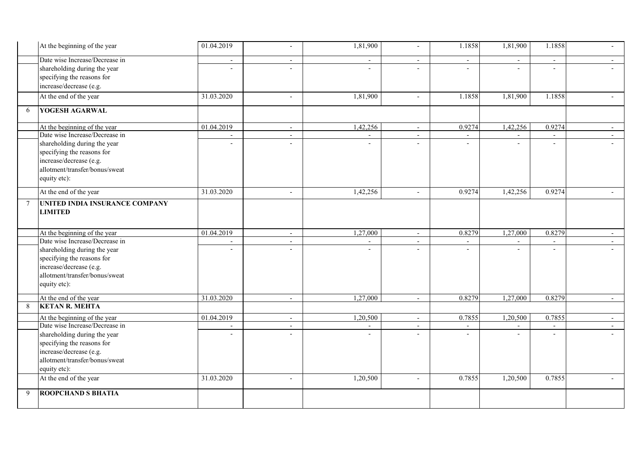|        | At the beginning of the year   | 01.04.2019               | $\overline{\phantom{a}}$ | 1,81,900       | $\sim$                   | 1.1858         | 1,81,900       | 1.1858                   | $\overline{a}$ |
|--------|--------------------------------|--------------------------|--------------------------|----------------|--------------------------|----------------|----------------|--------------------------|----------------|
|        | Date wise Increase/Decrease in | $\overline{\phantom{a}}$ | $\sim$                   |                | $\sim$                   | $\overline{a}$ |                | $\sim$                   |                |
|        | shareholding during the year   | $\sim$                   | $\overline{a}$           | $\overline{a}$ |                          | $\blacksquare$ | $\overline{a}$ | $\mathbf{r}$             |                |
|        | specifying the reasons for     |                          |                          |                |                          |                |                |                          |                |
|        | increase/decrease (e.g.        |                          |                          |                |                          |                |                |                          |                |
|        | At the end of the year         | 31.03.2020               | $\overline{\phantom{a}}$ | 1,81,900       | $\sim$                   | 1.1858         | 1,81,900       | 1.1858                   |                |
| 6      | YOGESH AGARWAL                 |                          |                          |                |                          |                |                |                          |                |
|        | At the beginning of the year   | 01.04.2019               | $\sim$                   | 1,42,256       | $\sim$                   | 0.9274         | 1,42,256       | 0.9274                   | $\sim$         |
|        | Date wise Increase/Decrease in |                          | $\overline{\phantom{a}}$ |                | $\overline{\phantom{a}}$ |                |                | $\overline{\phantom{a}}$ | $\sim$         |
|        | shareholding during the year   |                          | $\overline{a}$           |                |                          |                | $\overline{a}$ | $\overline{a}$           |                |
|        | specifying the reasons for     |                          |                          |                |                          |                |                |                          |                |
|        | increase/decrease (e.g.        |                          |                          |                |                          |                |                |                          |                |
|        | allotment/transfer/bonus/sweat |                          |                          |                |                          |                |                |                          |                |
|        | equity etc):                   |                          |                          |                |                          |                |                |                          |                |
|        | At the end of the year         | 31.03.2020               | $\overline{a}$           | 1,42,256       |                          | 0.9274         | 1,42,256       | 0.9274                   |                |
| $\tau$ | UNITED INDIA INSURANCE COMPANY |                          |                          |                |                          |                |                |                          |                |
|        | <b>LIMITED</b>                 |                          |                          |                |                          |                |                |                          |                |
|        |                                |                          |                          |                |                          |                |                |                          |                |
|        | At the beginning of the year   | 01.04.2019               | $\sim$                   | 1,27,000       | $\overline{\phantom{a}}$ | 0.8279         | 1,27,000       | 0.8279                   | $\sim$         |
|        | Date wise Increase/Decrease in |                          | $\blacksquare$           |                | $\overline{\phantom{a}}$ |                |                | $\overline{\phantom{a}}$ | $\sim$         |
|        | shareholding during the year   | $\overline{a}$           | $\overline{\phantom{a}}$ | $\overline{a}$ | $\overline{\phantom{a}}$ | $\blacksquare$ | $\blacksquare$ | $\overline{\phantom{a}}$ |                |
|        | specifying the reasons for     |                          |                          |                |                          |                |                |                          |                |
|        | increase/decrease (e.g.        |                          |                          |                |                          |                |                |                          |                |
|        | allotment/transfer/bonus/sweat |                          |                          |                |                          |                |                |                          |                |
|        | equity etc):                   |                          |                          |                |                          |                |                |                          |                |
|        |                                |                          |                          |                |                          |                |                |                          |                |
|        | At the end of the year         | 31.03.2020               | $\sim$                   | 1,27,000       | $\sim$                   | 0.8279         | 1,27,000       | 0.8279                   | $\sim$ $-$     |
| 8      | <b>KETAN R. MEHTA</b>          |                          |                          |                |                          |                |                |                          |                |
|        | At the beginning of the year   | 01.04.2019               | $\sim$                   | 1,20,500       | $\sim$                   | 0.7855         | 1,20,500       | 0.7855                   | $\sim$ $-$     |
|        | Date wise Increase/Decrease in |                          | $\mathbf{r}$             |                | $\overline{\phantom{a}}$ |                |                | $\overline{\phantom{a}}$ | $\sim$         |
|        | shareholding during the year   |                          | $\overline{a}$           |                |                          |                |                | $\overline{a}$           |                |
|        | specifying the reasons for     |                          |                          |                |                          |                |                |                          |                |
|        | increase/decrease (e.g.        |                          |                          |                |                          |                |                |                          |                |
|        | allotment/transfer/bonus/sweat |                          |                          |                |                          |                |                |                          |                |
|        | equity etc):                   |                          |                          |                |                          |                |                |                          |                |
|        | At the end of the year         | 31.03.2020               | $\overline{a}$           | 1,20,500       |                          | 0.7855         | 1,20,500       | 0.7855                   |                |
| 9      | ROOPCHAND S BHATIA             |                          |                          |                |                          |                |                |                          |                |
|        |                                |                          |                          |                |                          |                |                |                          |                |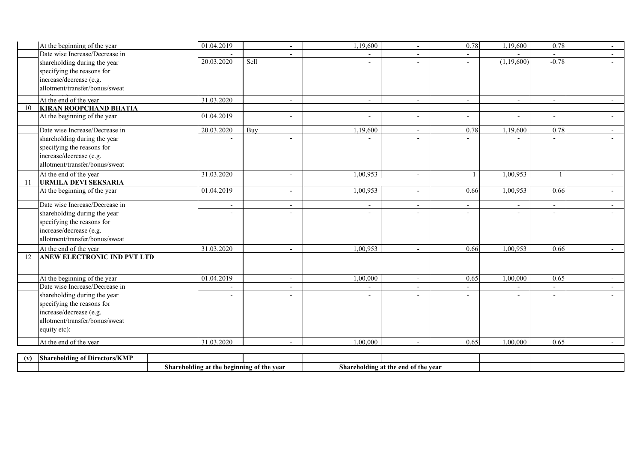| At the beginning of the year        | 01.04.2019               |      | $\overline{\phantom{a}}$ | 1,19,600                 |                          | 0.78                     | 1,19,600                 | 0.78                     | $\overline{\phantom{a}}$ |
|-------------------------------------|--------------------------|------|--------------------------|--------------------------|--------------------------|--------------------------|--------------------------|--------------------------|--------------------------|
| Date wise Increase/Decrease in      |                          |      |                          |                          |                          |                          |                          |                          | $\sim$                   |
| shareholding during the year        | 20.03.2020               | Sell |                          |                          |                          | $\overline{a}$           | (1,19,600)               | $-0.78$                  |                          |
| specifying the reasons for          |                          |      |                          |                          |                          |                          |                          |                          |                          |
| increase/decrease (e.g.             |                          |      |                          |                          |                          |                          |                          |                          |                          |
| allotment/transfer/bonus/sweat      |                          |      |                          |                          |                          |                          |                          |                          |                          |
| At the end of the year              | 31.03.2020               |      | $\overline{\phantom{a}}$ | $\overline{\phantom{a}}$ | $\overline{\phantom{a}}$ | $\overline{\phantom{a}}$ | $\overline{\phantom{a}}$ | $\sim$                   | $\overline{\phantom{a}}$ |
| <b>KIRAN ROOPCHAND BHATIA</b><br>10 |                          |      |                          |                          |                          |                          |                          |                          |                          |
| At the beginning of the year        | 01.04.2019               |      | $\overline{a}$           |                          | $\overline{a}$           | $\overline{\phantom{0}}$ |                          | $\sim$                   |                          |
| Date wise Increase/Decrease in      | 20.03.2020               | Buy  |                          | 1,19,600                 | $\sim$                   | 0.78                     | 1,19,600                 | 0.78                     | $\sim$                   |
| shareholding during the year        |                          |      | $\overline{a}$           |                          |                          |                          |                          |                          |                          |
| specifying the reasons for          |                          |      |                          |                          |                          |                          |                          |                          |                          |
| increase/decrease (e.g.             |                          |      |                          |                          |                          |                          |                          |                          |                          |
| allotment/transfer/bonus/sweat      |                          |      |                          |                          |                          |                          |                          |                          |                          |
| At the end of the year              | 31.03.2020               |      | $\overline{\phantom{a}}$ | 1,00,953                 | $\overline{\phantom{a}}$ | $\overline{1}$           | 1,00,953                 | $\mathbf{1}$             | $\overline{\phantom{0}}$ |
| <b>URMILA DEVI SEKSARIA</b><br>11   |                          |      |                          |                          |                          |                          |                          |                          |                          |
| At the beginning of the year        | 01.04.2019               |      | $\overline{a}$           | 1,00,953                 |                          | 0.66                     | 1,00,953                 | 0.66                     |                          |
| Date wise Increase/Decrease in      | $\overline{\phantom{a}}$ |      | $\overline{\phantom{a}}$ | $\sim$                   | $\blacksquare$           | $\blacksquare$           | $\blacksquare$           | $\sim$                   | $\sim$                   |
| shareholding during the year        |                          |      | $\overline{\phantom{0}}$ |                          |                          |                          |                          | $\overline{\phantom{a}}$ |                          |
| specifying the reasons for          |                          |      |                          |                          |                          |                          |                          |                          |                          |
| increase/decrease (e.g.             |                          |      |                          |                          |                          |                          |                          |                          |                          |
| allotment/transfer/bonus/sweat      |                          |      |                          |                          |                          |                          |                          |                          |                          |
| At the end of the year              | 31.03.2020               |      | $\overline{\phantom{a}}$ | 1,00,953                 |                          | 0.66                     | 1,00,953                 | 0.66                     |                          |
| ANEW ELECTRONIC IND PVT LTD<br>12   |                          |      |                          |                          |                          |                          |                          |                          |                          |
|                                     |                          |      |                          |                          |                          |                          |                          |                          |                          |
| At the beginning of the year        | 01.04.2019               |      | $\overline{\phantom{a}}$ | 1,00,000                 | $\blacksquare$           | 0.65                     | 1,00,000                 | 0.65                     | $\sim$                   |
| Date wise Increase/Decrease in      |                          |      | $\blacksquare$           |                          | $\overline{\phantom{a}}$ | $\overline{a}$           |                          | $\overline{\phantom{a}}$ | $\sim$                   |
| shareholding during the year        |                          |      | $\overline{a}$           |                          |                          |                          | $\overline{a}$           |                          |                          |
| specifying the reasons for          |                          |      |                          |                          |                          |                          |                          |                          |                          |
| increase/decrease (e.g.             |                          |      |                          |                          |                          |                          |                          |                          |                          |
| allotment/transfer/bonus/sweat      |                          |      |                          |                          |                          |                          |                          |                          |                          |
| equity etc):                        |                          |      |                          |                          |                          |                          |                          |                          |                          |
| At the end of the year              | 31.03.2020               |      | $\overline{\phantom{0}}$ | 1.00.000                 | $\overline{\phantom{a}}$ | 0.65                     | 1.00.000                 | 0.65                     | $\sim$                   |

| - 1 V 1 | $1 - 1 - 1$<br>$\cdots$<br>- Shar<br>ectors/KMP<br>* Dıre<br>dıng |                                           |  |                        |                  |           |  |  |  |
|---------|-------------------------------------------------------------------|-------------------------------------------|--|------------------------|------------------|-----------|--|--|--|
|         |                                                                   | shareholding at the beginning of the year |  | ---<br>Share<br>əlding | of the<br>at the | .<br>vear |  |  |  |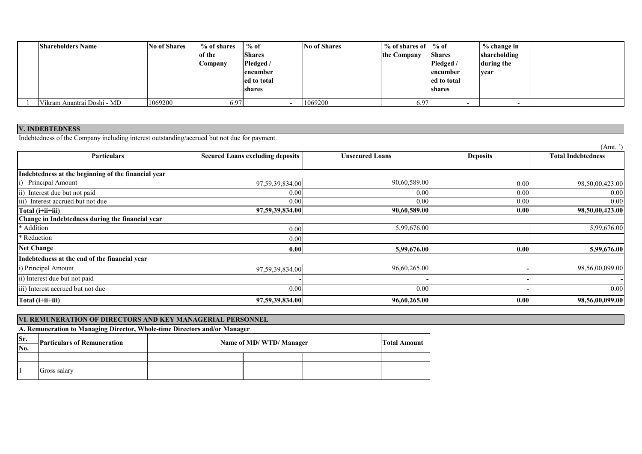| <b>Shareholders Name</b>   | <b>No of Shares</b> | % of shares | $%$ of        | <b>No of Shares</b> | $\%$ of shares of $\%$ of |                  | $%$ change in |  |
|----------------------------|---------------------|-------------|---------------|---------------------|---------------------------|------------------|---------------|--|
|                            |                     | of the      | <b>Shares</b> |                     | the Company               | <b>Shares</b>    | shareholding  |  |
|                            |                     | Company     | Pledged /     |                     |                           | Pledged /        | during the    |  |
|                            |                     |             | encumber      |                     |                           | <b>lencumber</b> | year          |  |
|                            |                     |             | ed to total   |                     |                           | ed to total      |               |  |
|                            |                     |             | shares        |                     |                           | shares           |               |  |
|                            |                     |             |               |                     |                           |                  |               |  |
| Vikram Anantrai Doshi - MD | 1069200             | 6.97        |               | 1069200             | 6.97                      |                  |               |  |

**V. INDEBTEDNESS** Indebtedness of the Company including interest outstanding/accrued but not due for payment.

|                                                     |                                         |                        |                 | (Amt. )                   |
|-----------------------------------------------------|-----------------------------------------|------------------------|-----------------|---------------------------|
| <b>Particulars</b>                                  | <b>Secured Loans excluding deposits</b> | <b>Unsecured Loans</b> | <b>Deposits</b> | <b>Total Indebtedness</b> |
|                                                     |                                         |                        |                 |                           |
| Indebtedness at the beginning of the financial year |                                         |                        |                 |                           |
| Principal Amount                                    | 97,59,39,834.00                         | 90,60,589.00           | 0.00            | 98,50,00,423.00           |
| Interest due but not paid<br>$\overline{ii}$        | 0.00                                    | 0.00                   | 0.00            | 0.00                      |
| Interest accrued but not due                        | 0.00                                    | 0.00                   | 0.00            | 0.00                      |
| Total (i+ii+iii)                                    | 97,59,39,834.00                         | 90,60,589.00           | 0.00            | 98,50,00,423.00           |
| Change in Indebtedness during the financial year    |                                         |                        |                 |                           |
| * Addition                                          | 0.00                                    | 5,99,676.00            |                 | 5,99,676.00               |
| * Reduction                                         | 0.00                                    |                        |                 |                           |
| <b>Net Change</b>                                   | 0.00                                    | 5,99,676.00            | 0.00            | 5,99,676.00               |
| Indebtedness at the end of the financial year       |                                         |                        |                 |                           |
| i) Principal Amount                                 | 97,59,39,834.00                         | 96,60,265.00           |                 | 98,56,00,099.00           |
| ii) Interest due but not paid                       |                                         |                        |                 |                           |
| iii) Interest accrued but not due                   | 0.00                                    | 0.00                   |                 | 0.00                      |
| Total (i+ii+iii)                                    | 97,59,39,834.00                         | 96,60,265.00           | 0.00            | 98,56,00,099.00           |

|     | VI. REMUNERATION OF DIRECTORS AND KEY MANAGERIAL PERSONNEL                |  |                        |  |  |  |  |  |  |  |
|-----|---------------------------------------------------------------------------|--|------------------------|--|--|--|--|--|--|--|
|     | A. Remuneration to Managing Director, Whole-time Directors and/or Manager |  |                        |  |  |  |  |  |  |  |
| Sr. | -Particulars of Remuneration                                              |  | Name of MD/WTD/Manager |  |  |  |  |  |  |  |
| No. |                                                                           |  |                        |  |  |  |  |  |  |  |
|     |                                                                           |  |                        |  |  |  |  |  |  |  |
|     | Gross salary                                                              |  |                        |  |  |  |  |  |  |  |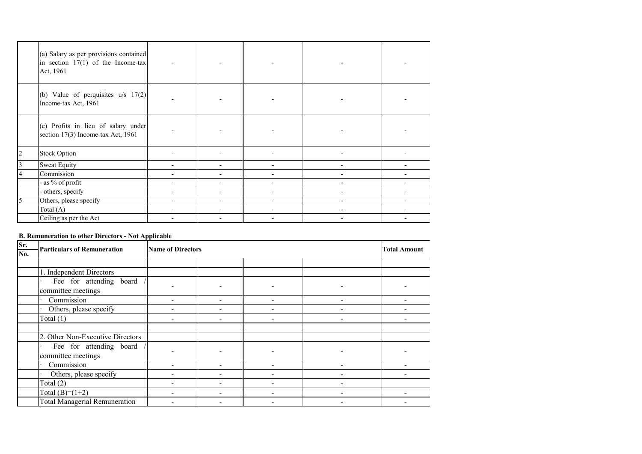|   | (a) Salary as per provisions contained<br>in section $17(1)$ of the Income-tax<br>Act, 1961 |                          |    |                          |  |
|---|---------------------------------------------------------------------------------------------|--------------------------|----|--------------------------|--|
|   | (b) Value of perquisites $u/s$ 17(2)<br>Income-tax Act, 1961                                |                          |    |                          |  |
|   | (c) Profits in lieu of salary under<br>section 17(3) Income-tax Act, 1961                   |                          |    |                          |  |
| 2 | <b>Stock Option</b>                                                                         |                          |    |                          |  |
| 3 | <b>Sweat Equity</b>                                                                         | $\overline{\phantom{a}}$ | Ξ. | $\overline{\phantom{a}}$ |  |
|   | Commission                                                                                  | $\overline{\phantom{a}}$ |    | -                        |  |
|   | - as % of profit                                                                            | $\overline{\phantom{a}}$ |    |                          |  |
|   | - others, specify                                                                           |                          |    |                          |  |
| 5 | Others, please specify                                                                      |                          |    |                          |  |
|   | Total $(A)$                                                                                 | $\overline{\phantom{0}}$ |    | $\overline{\phantom{a}}$ |  |
|   | Ceiling as per the Act                                                                      |                          |    |                          |  |

# **B. Remuneration to other Directors - Not Applicable**

| Sr. | <b>Particulars of Remuneration</b>   | <b>Name of Directors</b> | <b>Total Amount</b>      |                          |  |
|-----|--------------------------------------|--------------------------|--------------------------|--------------------------|--|
| No. |                                      |                          |                          |                          |  |
|     |                                      |                          |                          |                          |  |
|     | 1. Independent Directors             |                          |                          |                          |  |
|     | Fee for attending board              |                          |                          |                          |  |
|     | committee meetings                   |                          | $\overline{\phantom{0}}$ |                          |  |
|     | Commission                           |                          | $\overline{\phantom{0}}$ | $\overline{\phantom{0}}$ |  |
|     | Others, please specify               |                          | $\overline{\phantom{0}}$ |                          |  |
|     | Total $(1)$                          |                          |                          |                          |  |
|     |                                      |                          |                          |                          |  |
|     | 2. Other Non-Executive Directors     |                          |                          |                          |  |
|     | Fee for attending board              |                          |                          |                          |  |
|     | committee meetings                   |                          |                          |                          |  |
|     | Commission                           |                          |                          |                          |  |
|     | Others, please specify               |                          |                          |                          |  |
|     | Total (2)                            |                          |                          |                          |  |
|     | Total $(B)=(1+2)$                    |                          | -                        | $\overline{\phantom{0}}$ |  |
|     | <b>Total Managerial Remuneration</b> |                          | $\overline{\phantom{0}}$ | $\overline{\phantom{a}}$ |  |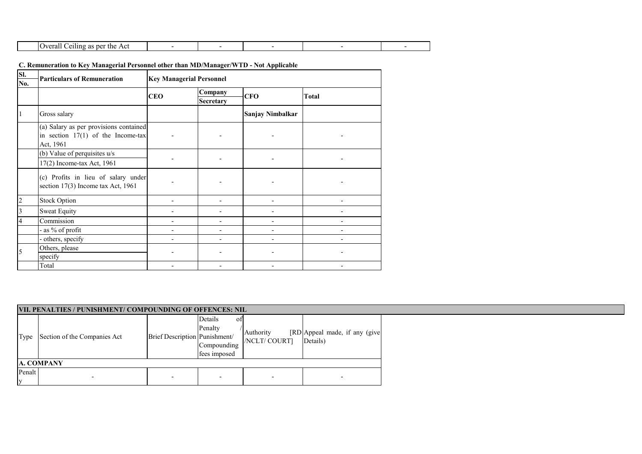| .<br>$\Omega$<br>the<br>ACI<br>per<br>.<br>σ<br>-an<br>◥.<br>,,,, |  |  |  |
|-------------------------------------------------------------------|--|--|--|

# **C. Remuneration to Key Managerial Personnel other than MD/Manager/WTD - Not Applicable**

| Sl.<br>No.              | <b>Particulars of Remuneration</b>                                                          | <b>Key Managerial Personnel</b> |                                        |                            |                                           |  |  |  |  |  |  |
|-------------------------|---------------------------------------------------------------------------------------------|---------------------------------|----------------------------------------|----------------------------|-------------------------------------------|--|--|--|--|--|--|
|                         |                                                                                             | <b>CEO</b>                      | Company<br>Secretary                   | <b>CFO</b>                 | <b>Total</b>                              |  |  |  |  |  |  |
| $\vert$ 1               | Gross salary                                                                                |                                 |                                        | Sanjay Nimbalkar           |                                           |  |  |  |  |  |  |
|                         | (a) Salary as per provisions contained<br>in section $17(1)$ of the Income-tax<br>Act, 1961 |                                 |                                        |                            |                                           |  |  |  |  |  |  |
|                         | (b) Value of perquisites u/s                                                                |                                 |                                        |                            |                                           |  |  |  |  |  |  |
|                         | 17(2) Income-tax Act, 1961                                                                  |                                 |                                        |                            |                                           |  |  |  |  |  |  |
|                         | (c) Profits in lieu of salary under<br>section 17(3) Income tax Act, 1961                   |                                 |                                        |                            |                                           |  |  |  |  |  |  |
| $\overline{2}$          | <b>Stock Option</b>                                                                         | $\overline{\phantom{0}}$        | $\overline{\phantom{a}}$               | $\overline{\phantom{0}}$   | $\overline{a}$                            |  |  |  |  |  |  |
| $\overline{\mathbf{3}}$ | <b>Sweat Equity</b>                                                                         |                                 | $\overline{a}$                         |                            |                                           |  |  |  |  |  |  |
| $\overline{4}$          | Commission                                                                                  |                                 | $\overline{a}$                         | $\overline{\phantom{a}}$   | $\overline{\phantom{0}}$                  |  |  |  |  |  |  |
|                         | - as % of profit                                                                            |                                 |                                        |                            |                                           |  |  |  |  |  |  |
|                         | - others, specify                                                                           |                                 |                                        |                            |                                           |  |  |  |  |  |  |
| 5                       | Others, please                                                                              |                                 |                                        |                            |                                           |  |  |  |  |  |  |
|                         | specify                                                                                     |                                 |                                        |                            |                                           |  |  |  |  |  |  |
|                         | Total                                                                                       |                                 | $\overline{\phantom{a}}$               | $\overline{a}$             | $\overline{a}$                            |  |  |  |  |  |  |
|                         | VII. PENALTIES / PUNISHMENT/ COMPOUNDING OF OFFENCES: NIL                                   |                                 |                                        |                            |                                           |  |  |  |  |  |  |
|                         |                                                                                             |                                 | Details<br>of                          |                            |                                           |  |  |  |  |  |  |
| Type                    | Section of the Companies Act                                                                | Brief Description Punishment/   | Penalty<br>Compounding<br>fees imposed | Authority<br>/NCLT/ COURT] | [RD Appeal made, if any (give<br>Details) |  |  |  |  |  |  |
|                         | <b>A. COMPANY</b>                                                                           |                                 |                                        |                            |                                           |  |  |  |  |  |  |
| Penalt<br>$\mathbf y$   |                                                                                             |                                 |                                        |                            |                                           |  |  |  |  |  |  |
|                         |                                                                                             |                                 |                                        |                            |                                           |  |  |  |  |  |  |

|               | VII. PENALTIES / PUNISHMENT/ COMPOUNDING OF OFFENCES: NIL |                               |                                                           |                            |                                           |  |  |  |
|---------------|-----------------------------------------------------------|-------------------------------|-----------------------------------------------------------|----------------------------|-------------------------------------------|--|--|--|
| Type          | Section of the Companies Act                              | Brief Description Punishment/ | Details<br>- OT<br>Penalty<br>Compounding<br>fees imposed | Authority<br>/NCLT/ COURT] | [RD Appeal made, if any (give<br>Details) |  |  |  |
|               | A. COMPANY                                                |                               |                                                           |                            |                                           |  |  |  |
| Penalt<br>ly. |                                                           |                               |                                                           | $\overline{\phantom{0}}$   |                                           |  |  |  |